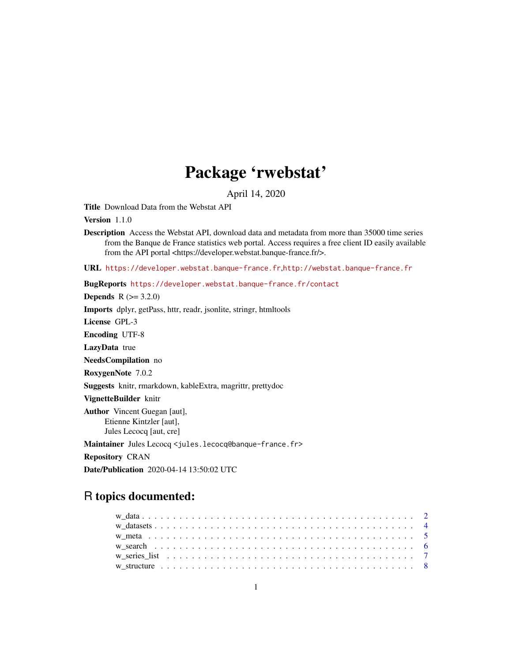# Package 'rwebstat'

April 14, 2020

Title Download Data from the Webstat API

Version 1.1.0

Description Access the Webstat API, download data and metadata from more than 35000 time series from the Banque de France statistics web portal. Access requires a free client ID easily available from the API portal <https://developer.webstat.banque-france.fr/>.

URL <https://developer.webstat.banque-france.fr>,<http://webstat.banque-france.fr>

BugReports <https://developer.webstat.banque-france.fr/contact>

**Depends**  $R (= 3.2.0)$ 

Imports dplyr, getPass, httr, readr, jsonlite, stringr, htmltools

License GPL-3

Encoding UTF-8

LazyData true

NeedsCompilation no

RoxygenNote 7.0.2

Suggests knitr, rmarkdown, kableExtra, magrittr, prettydoc

VignetteBuilder knitr

Author Vincent Guegan [aut], Etienne Kintzler [aut], Jules Lecocq [aut, cre]

Maintainer Jules Lecocq <jules.lecocq@banque-france.fr>

Repository CRAN

Date/Publication 2020-04-14 13:50:02 UTC

# R topics documented: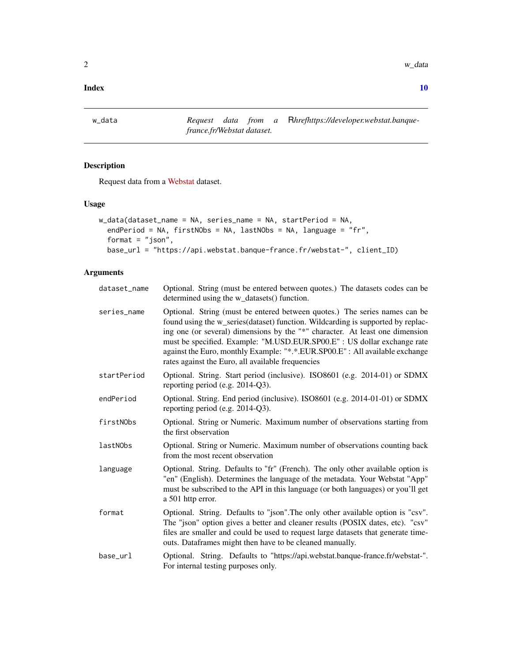#### <span id="page-1-0"></span> $\blacksquare$

w\_data *Request data from a* R*hrefhttps://developer.webstat.banquefrance.fr/Webstat dataset.*

# Description

Request data from a [Webstat](https://developer.webstat.banque-france.fr/) dataset.

# Usage

```
w_data(dataset_name = NA, series_name = NA, startPeriod = NA,
 endPeriod = NA, firstNObs = NA, lastNObs = NA, language = "fr",
  format = "json",base_url = "https://api.webstat.banque-france.fr/webstat-", client_ID)
```
# Arguments

| dataset_name | Optional. String (must be entered between quotes.) The datasets codes can be<br>determined using the w_datasets() function.                                                                                                                                                                                                                                                                                                                                      |
|--------------|------------------------------------------------------------------------------------------------------------------------------------------------------------------------------------------------------------------------------------------------------------------------------------------------------------------------------------------------------------------------------------------------------------------------------------------------------------------|
| series_name  | Optional. String (must be entered between quotes.) The series names can be<br>found using the w_series(dataset) function. Wildcarding is supported by replac-<br>ing one (or several) dimensions by the "*" character. At least one dimension<br>must be specified. Example: "M.USD.EUR.SP00.E" : US dollar exchange rate<br>against the Euro, monthly Example: "*.*. EUR. SP00. E": All available exchange<br>rates against the Euro, all available frequencies |
| startPeriod  | Optional. String. Start period (inclusive). ISO8601 (e.g. 2014-01) or SDMX<br>reporting period (e.g. 2014-Q3).                                                                                                                                                                                                                                                                                                                                                   |
| endPeriod    | Optional. String. End period (inclusive). ISO8601 (e.g. 2014-01-01) or SDMX<br>reporting period (e.g. 2014-Q3).                                                                                                                                                                                                                                                                                                                                                  |
| firstNObs    | Optional. String or Numeric. Maximum number of observations starting from<br>the first observation                                                                                                                                                                                                                                                                                                                                                               |
| lastNObs     | Optional. String or Numeric. Maximum number of observations counting back<br>from the most recent observation                                                                                                                                                                                                                                                                                                                                                    |
| language     | Optional. String. Defaults to "fr" (French). The only other available option is<br>"en" (English). Determines the language of the metadata. Your Webstat "App"<br>must be subscribed to the API in this language (or both languages) or you'll get<br>a 501 http error.                                                                                                                                                                                          |
| format       | Optional. String. Defaults to "json". The only other available option is "csv".<br>The "json" option gives a better and cleaner results (POSIX dates, etc). "csv"<br>files are smaller and could be used to request large datasets that generate time-<br>outs. Dataframes might then have to be cleaned manually.                                                                                                                                               |
| base_url     | Optional. String. Defaults to "https://api.webstat.banque-france.fr/webstat-".<br>For internal testing purposes only.                                                                                                                                                                                                                                                                                                                                            |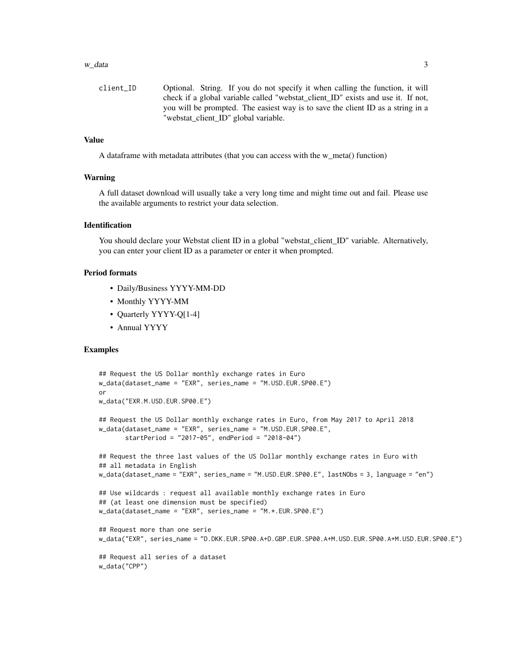#### $w_{\text{d}}$  data  $\frac{3}{2}$

```
client_ID Optional. String. If you do not specify it when calling the function, it will
                  check if a global variable called "webstat_client_ID" exists and use it. If not,
                  you will be prompted. The easiest way is to save the client ID as a string in a
                  "webstat_client_ID" global variable.
```
#### Value

A dataframe with metadata attributes (that you can access with the w\_meta() function)

#### Warning

A full dataset download will usually take a very long time and might time out and fail. Please use the available arguments to restrict your data selection.

# Identification

You should declare your Webstat client ID in a global "webstat client ID" variable. Alternatively, you can enter your client ID as a parameter or enter it when prompted.

#### Period formats

- Daily/Business YYYY-MM-DD
- Monthly YYYY-MM
- Quarterly YYYY-Q[1-4]
- Annual YYYY

# Examples

```
## Request the US Dollar monthly exchange rates in Euro
w_data(dataset_name = "EXR", series_name = "M.USD.EUR.SP00.E")
or
w_data("EXR.M.USD.EUR.SP00.E")
## Request the US Dollar monthly exchange rates in Euro, from May 2017 to April 2018
w_data(dataset_name = "EXR", series_name = "M.USD.EUR.SP00.E",
      startPeriod = "2017-05", endPeriod = "2018-04")
## Request the three last values of the US Dollar monthly exchange rates in Euro with
## all metadata in English
w_data(dataset_name = "EXR", series_name = "M.USD.EUR.SP00.E", lastNObs = 3, language = "en")
## Use wildcards : request all available monthly exchange rates in Euro
## (at least one dimension must be specified)
w_data(dataset_name = "EXR", series_name = "M.*.EUR.SP00.E")
## Request more than one serie
w_data("EXR", series_name = "D.DKK.EUR.SP00.A+D.GBP.EUR.SP00.A+M.USD.EUR.SP00.A+M.USD.EUR.SP00.E")
## Request all series of a dataset
w_data("CPP")
```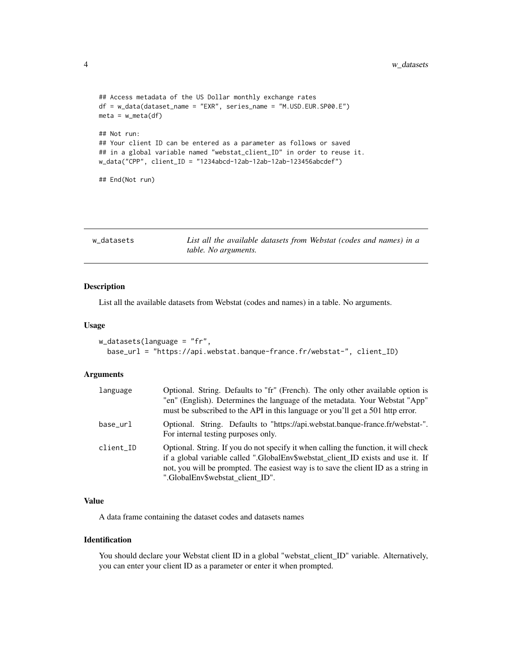```
## Access metadata of the US Dollar monthly exchange rates
df = w_data(dataset_name = "EXR", series_name = "M.USD.EUR.SP00.E")
meta = w_meta(df)## Not run:
## Your client ID can be entered as a parameter as follows or saved
## in a global variable named "webstat_client_ID" in order to reuse it.
w_data("CPP", client_ID = "1234abcd-12ab-12ab-12ab-123456abcdef")
## End(Not run)
```
w\_datasets *List all the available datasets from Webstat (codes and names) in a table. No arguments.*

#### Description

List all the available datasets from Webstat (codes and names) in a table. No arguments.

#### Usage

```
w_{\text{d}}datasets(language = "fr",
  base_url = "https://api.webstat.banque-france.fr/webstat-", client_ID)
```
#### Arguments

| language  | Optional. String. Defaults to "fr" (French). The only other available option is<br>"en" (English). Determines the language of the metadata. Your Webstat "App"<br>must be subscribed to the API in this language or you'll get a 501 http error.                                                  |
|-----------|---------------------------------------------------------------------------------------------------------------------------------------------------------------------------------------------------------------------------------------------------------------------------------------------------|
| base_url  | Optional. String. Defaults to "https://api.webstat.banque-france.fr/webstat-".<br>For internal testing purposes only.                                                                                                                                                                             |
| client_ID | Optional. String. If you do not specify it when calling the function, it will check<br>if a global variable called ".GlobalEnv\$webstat_client_ID exists and use it. If<br>not, you will be prompted. The easiest way is to save the client ID as a string in<br>".GlobalEnv\$webstat client ID". |

# Value

A data frame containing the dataset codes and datasets names

#### Identification

You should declare your Webstat client ID in a global "webstat\_client\_ID" variable. Alternatively, you can enter your client ID as a parameter or enter it when prompted.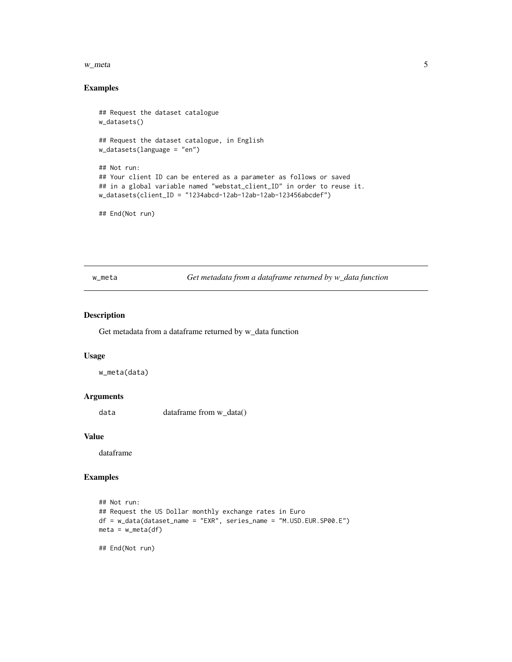#### <span id="page-4-0"></span>w\_meta 5

#### Examples

```
## Request the dataset catalogue
w_datasets()
## Request the dataset catalogue, in English
w_datasets(language = "en")
## Not run:
## Your client ID can be entered as a parameter as follows or saved
## in a global variable named "webstat_client_ID" in order to reuse it.
w_datasets(client_ID = "1234abcd-12ab-12ab-12ab-123456abcdef")
## End(Not run)
```
w\_meta *Get metadata from a dataframe returned by w\_data function*

#### Description

Get metadata from a dataframe returned by w\_data function

# Usage

w\_meta(data)

# Arguments

data dataframe from w\_data()

# Value

dataframe

# Examples

```
## Not run:
## Request the US Dollar monthly exchange rates in Euro
df = w_data(dataset_name = "EXR", series_name = "M.USD.EUR.SP00.E")
meta = w_meta(df)## End(Not run)
```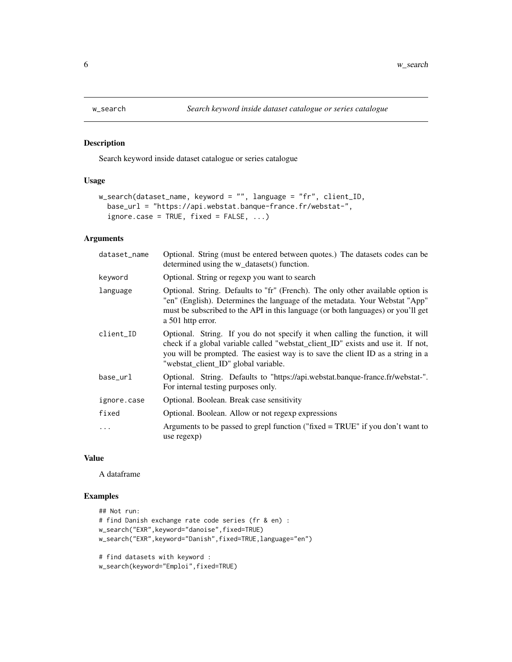# Description

Search keyword inside dataset catalogue or series catalogue

#### Usage

```
w_search(dataset_name, keyword = "", language = "fr", client_ID,
 base_url = "https://api.webstat.banque-france.fr/webstat-",
  ignore.case = TRUE, fixed = FALSE, ...)
```
# Arguments

| dataset_name | Optional. String (must be entered between quotes.) The datasets codes can be<br>determined using the w_datasets() function.                                                                                                                                                                  |
|--------------|----------------------------------------------------------------------------------------------------------------------------------------------------------------------------------------------------------------------------------------------------------------------------------------------|
| keyword      | Optional. String or regexp you want to search                                                                                                                                                                                                                                                |
| language     | Optional. String. Defaults to "fr" (French). The only other available option is<br>"en" (English). Determines the language of the metadata. Your Webstat "App"<br>must be subscribed to the API in this language (or both languages) or you'll get<br>a 501 http error.                      |
| client_ID    | Optional. String. If you do not specify it when calling the function, it will<br>check if a global variable called "webstat_client_ID" exists and use it. If not,<br>you will be prompted. The easiest way is to save the client ID as a string in a<br>"webstat_client_ID" global variable. |
| base_url     | Optional. String. Defaults to "https://api.webstat.banque-france.fr/webstat-".<br>For internal testing purposes only.                                                                                                                                                                        |
| ignore.case  | Optional. Boolean. Break case sensitivity                                                                                                                                                                                                                                                    |
| fixed        | Optional. Boolean. Allow or not regexp expressions                                                                                                                                                                                                                                           |
| .            | Arguments to be passed to grepl function ("fixed $=$ TRUE" if you don't want to<br>use regexp)                                                                                                                                                                                               |

#### Value

A dataframe

# Examples

```
## Not run:
# find Danish exchange rate code series (fr & en) :
w_search("EXR",keyword="danoise",fixed=TRUE)
w_search("EXR",keyword="Danish",fixed=TRUE,language="en")
# find datasets with keyword :
```

```
w_search(keyword="Emploi",fixed=TRUE)
```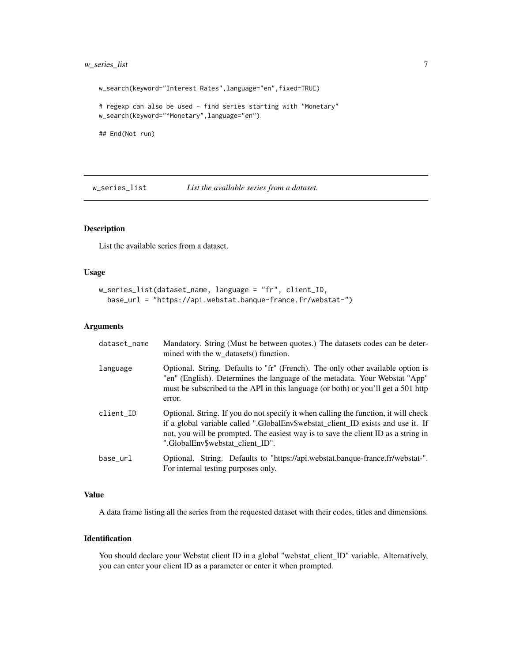# <span id="page-6-0"></span>w\_series\_list 7

w\_search(keyword="Interest Rates",language="en",fixed=TRUE) # regexp can also be used - find series starting with "Monetary" w\_search(keyword="^Monetary",language="en") ## End(Not run)

w\_series\_list *List the available series from a dataset.*

#### Description

List the available series from a dataset.

# Usage

```
w_series_list(dataset_name, language = "fr", client_ID,
 base_url = "https://api.webstat.banque-france.fr/webstat-")
```
# Arguments

| dataset_name | Mandatory. String (Must be between quotes.) The datasets codes can be deter-<br>mined with the w_datasets() function.                                                                                                                                                                             |
|--------------|---------------------------------------------------------------------------------------------------------------------------------------------------------------------------------------------------------------------------------------------------------------------------------------------------|
| language     | Optional. String. Defaults to "fr" (French). The only other available option is<br>"en" (English). Determines the language of the metadata. Your Webstat "App"<br>must be subscribed to the API in this language (or both) or you'll get a 501 http<br>error.                                     |
| client_ID    | Optional. String. If you do not specify it when calling the function, it will check<br>if a global variable called ".GlobalEnv\$webstat_client_ID exists and use it. If<br>not, you will be prompted. The easiest way is to save the client ID as a string in<br>".GlobalEnv\$webstat client ID". |
| base_url     | Optional. String. Defaults to "https://api.webstat.banque-france.fr/webstat-".<br>For internal testing purposes only.                                                                                                                                                                             |

#### Value

A data frame listing all the series from the requested dataset with their codes, titles and dimensions.

# Identification

You should declare your Webstat client ID in a global "webstat\_client\_ID" variable. Alternatively, you can enter your client ID as a parameter or enter it when prompted.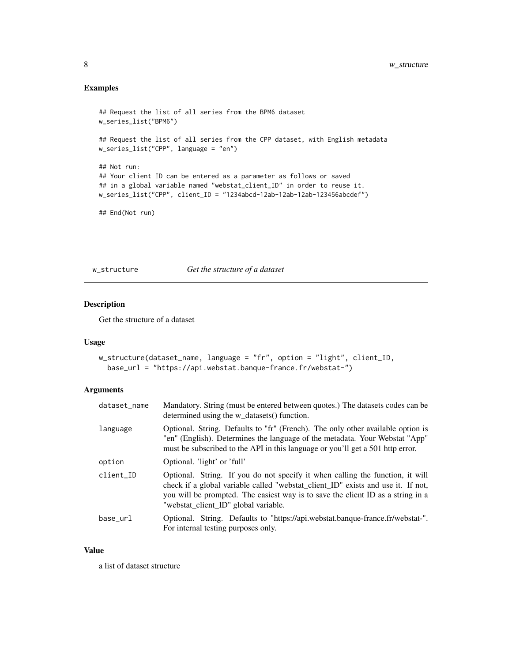# <span id="page-7-0"></span>Examples

```
## Request the list of all series from the BPM6 dataset
w_series_list("BPM6")
## Request the list of all series from the CPP dataset, with English metadata
w_series_list("CPP", language = "en")
## Not run:
## Your client ID can be entered as a parameter as follows or saved
## in a global variable named "webstat_client_ID" in order to reuse it.
w_series_list("CPP", client_ID = "1234abcd-12ab-12ab-12ab-123456abcdef")
## End(Not run)
```
w\_structure *Get the structure of a dataset*

# Description

Get the structure of a dataset

#### Usage

```
w_structure(dataset_name, language = "fr", option = "light", client_ID,
 base_url = "https://api.webstat.banque-france.fr/webstat-")
```
#### Arguments

| dataset_name | Mandatory. String (must be entered between quotes.) The datasets codes can be<br>determined using the w_datasets() function.                                                                                                                                                                 |
|--------------|----------------------------------------------------------------------------------------------------------------------------------------------------------------------------------------------------------------------------------------------------------------------------------------------|
| language     | Optional. String. Defaults to "fr" (French). The only other available option is<br>"en" (English). Determines the language of the metadata. Your Webstat "App"<br>must be subscribed to the API in this language or you'll get a 501 http error.                                             |
| option       | Optional. 'light' or 'full'                                                                                                                                                                                                                                                                  |
| client ID    | Optional. String. If you do not specify it when calling the function, it will<br>check if a global variable called "webstat_client_ID" exists and use it. If not,<br>you will be prompted. The easiest way is to save the client ID as a string in a<br>"webstat_client_ID" global variable. |
| base_url     | Optional. String. Defaults to "https://api.webstat.banque-france.fr/webstat-".<br>For internal testing purposes only.                                                                                                                                                                        |

# Value

a list of dataset structure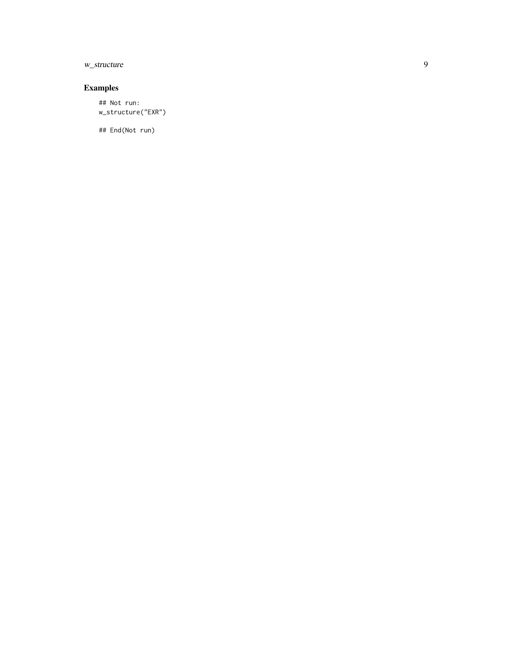# w\_structure

# Examples

## Not run: w\_structure("EXR")

## End(Not run)